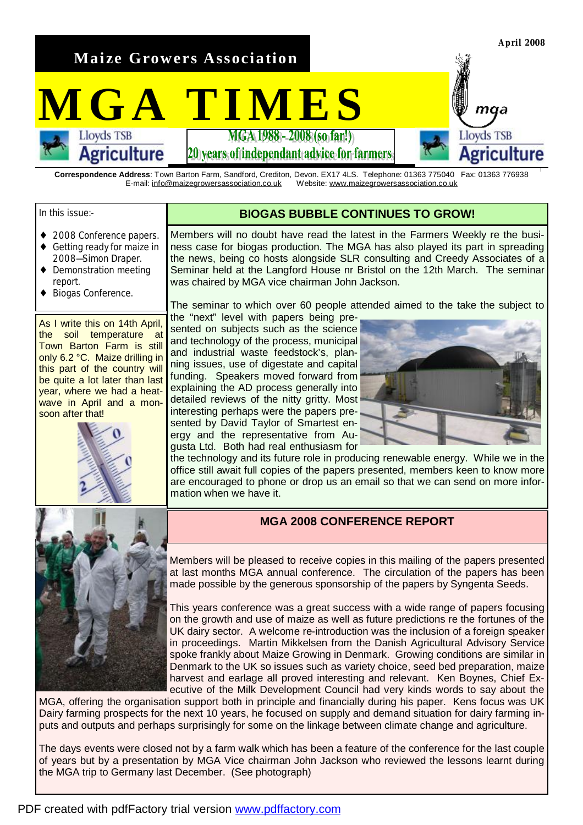**Maize Growers Association** 

# $MGA$  **TIMES**

20 vears of independant advice for farmers

**Correspondence Address**: Town Barton Farm, Sandford, Crediton, Devon. EX17 4LS. Telephone: 01363 775040 Fax: 01363 776938 E-mail: [info@maizegrowersassociation.co.uk](mailto:info@maizegrowersassociation.co.uk) Website: [www.maizegrowersassociation.co.uk](http://www.maizegrowersassociation.co.uk)

## In this issue:-

## **BIOGAS BUBBLE CONTINUES TO GROW!**

- ◆ 2008 Conference papers.
- ♦ Getting ready for maize in 2008—Simon Draper.

**Agriculture** 

- Demonstration meeting report.
- Biogas Conference.

As I write this on 14th April, the soil temperature at Town Barton Farm is still only 6.2 °C. Maize drilling in this part of the country will be quite a lot later than last year, where we had a heatwave in April and a monsoon after that!



Members will no doubt have read the latest in the Farmers Weekly re the business case for biogas production. The MGA has also played its part in spreading the news, being co hosts alongside SLR consulting and Creedy Associates of a Seminar held at the Langford House nr Bristol on the 12th March. The seminar was chaired by MGA vice chairman John Jackson.

The seminar to which over 60 people attended aimed to the take the subject to

the "next" level with papers being presented on subjects such as the science and technology of the process, municipal and industrial waste feedstock's, planning issues, use of digestate and capital funding. Speakers moved forward from explaining the AD process generally into detailed reviews of the nitty gritty. Most interesting perhaps were the papers presented by David Taylor of Smartest energy and the representative from Augusta Ltd. Both had real enthusiasm for



**April 2008** 

maa

Agriculture

**Lloyds TSB** 

the technology and its future role in producing renewable energy. While we in the office still await full copies of the papers presented, members keen to know more are encouraged to phone or drop us an email so that we can send on more information when we have it.

# **MGA 2008 CONFERENCE REPORT**

Members will be pleased to receive copies in this mailing of the papers presented at last months MGA annual conference. The circulation of the papers has been made possible by the generous sponsorship of the papers by Syngenta Seeds.

This years conference was a great success with a wide range of papers focusing on the growth and use of maize as well as future predictions re the fortunes of the UK dairy sector. A welcome re-introduction was the inclusion of a foreign speaker in proceedings. Martin Mikkelsen from the Danish Agricultural Advisory Service spoke frankly about Maize Growing in Denmark. Growing conditions are similar in Denmark to the UK so issues such as variety choice, seed bed preparation, maize harvest and earlage all proved interesting and relevant. Ken Boynes, Chief Executive of the Milk Development Council had very kinds words to say about the

MGA, offering the organisation support both in principle and financially during his paper. Kens focus was UK Dairy farming prospects for the next 10 years, he focused on supply and demand situation for dairy farming inputs and outputs and perhaps surprisingly for some on the linkage between climate change and agriculture.

The days events were closed not by a farm walk which has been a feature of the conference for the last couple of years but by a presentation by MGA Vice chairman John Jackson who reviewed the lessons learnt during the MGA trip to Germany last December. (See photograph)